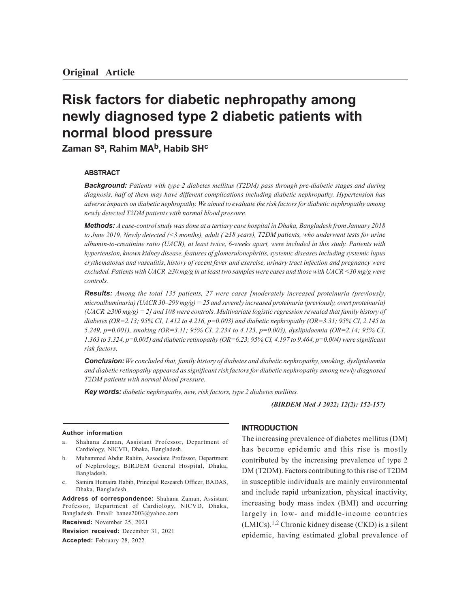# **Risk factors for diabetic nephropathy among newly diagnosed type 2 diabetic patients with normal blood pressure**

**Zaman Sa, Rahim MAb, Habib SH<sup>c</sup>**

## **ABSTRACT**

*Background: Patients with type 2 diabetes mellitus (T2DM) pass through pre-diabetic stages and during diagnosis, half of them may have different complications including diabetic nephropathy. Hypertension has adverse impacts on diabetic nephropathy. We aimed to evaluate the risk factors for diabetic nephropathy among newly detected T2DM patients with normal blood pressure.*

*Methods: A case-control study was done at a tertiary care hospital in Dhaka, Bangladesh from January 2018 to June 2019. Newly detected (<3 months), adult (* $\geq$ *18 years), T2DM patients, who underwent tests for urine albumin-to-creatinine ratio (UACR), at least twice, 6-weeks apart, were included in this study. Patients with hypertension, known kidney disease, features of glomerulonephritis, systemic diseases including systemic lupus erythematosus and vasculitis, history of recent fever and exercise, urinary tract infection and pregnancy were excluded. Patients with UACR* ³*30 mg/g in at least two samples were cases and those with UACR <30 mg/g were controls.*

*Results: Among the total 135 patients, 27 were cases [moderately increased proteinuria (previously, microalbuminuria) (UACR 30–299 mg/g) = 25 and severely increased proteinuria (previously, overt proteinuria) (UACR* ³*300 mg/g) = 2] and 108 were controls. Multivariate logistic regression revealed that family history of diabetes (OR=2.13; 95% CI, 1.412 to 4.216, p=0.003) and diabetic nephropathy (OR=3.31; 95% CI, 2.145 to 5.249, p=0.001), smoking (OR=3.11; 95% CI, 2.234 to 4.123, p=0.003), dyslipidaemia (OR=2.14; 95% CI, 1.363 to 3.324, p=0.005) and diabetic retinopathy (OR=6.23; 95% CI, 4.197 to 9.464, p=0.004) were significant risk factors.*

*Conclusion: We concluded that, family history of diabetes and diabetic nephropathy, smoking, dyslipidaemia and diabetic retinopathy appeared as significant risk factors for diabetic nephropathy among newly diagnosed T2DM patients with normal blood pressure.*

*Key words: diabetic nephropathy, new, risk factors, type 2 diabetes mellitus.*

*(BIRDEM Med J 2022; 12(2): 152-157)*

#### **Author information**

- Shahana Zaman, Assistant Professor, Department of Cardiology, NICVD, Dhaka, Bangladesh.
- b. Muhammad Abdur Rahim, Associate Professor, Department of Nephrology, BIRDEM General Hospital, Dhaka, Bangladesh.
- c. Samira Humaira Habib, Principal Research Officer, BADAS, Dhaka, Bangladesh.

**Address of correspondence:** Shahana Zaman, Assistant Professor, Department of Cardiology, NICVD, Dhaka, Bangladesh. Email: banee2003@yahoo.com

**Received:** November 25, 2021

**Revision received:** December 31, 2021 **Accepted:** February 28, 2022

## **INTRODUCTION**

The increasing prevalence of diabetes mellitus (DM) has become epidemic and this rise is mostly contributed by the increasing prevalence of type 2 DM (T2DM). Factors contributing to this rise of T2DM in susceptible individuals are mainly environmental and include rapid urbanization, physical inactivity, increasing body mass index (BMI) and occurring largely in low- and middle-income countries  $(LMICs).<sup>1,2</sup>$  Chronic kidney disease  $(CKD)$  is a silent epidemic, having estimated global prevalence of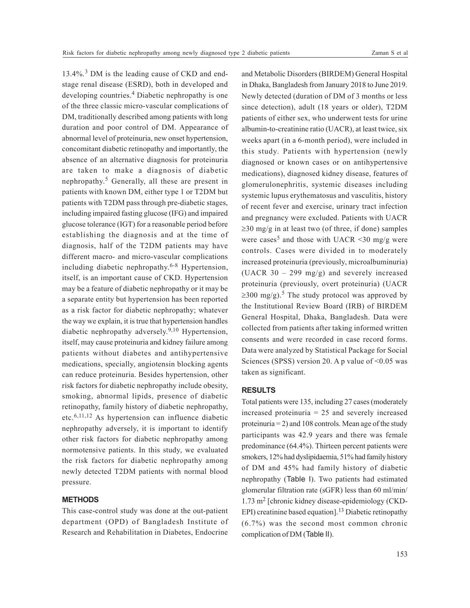13.4%.<sup>3</sup> DM is the leading cause of CKD and endstage renal disease (ESRD), both in developed and developing countries.<sup>4</sup> Diabetic nephropathy is one of the three classic micro-vascular complications of DM, traditionally described among patients with long duration and poor control of DM. Appearance of abnormal level of proteinuria, new onset hypertension, concomitant diabetic retinopathy and importantly, the absence of an alternative diagnosis for proteinuria are taken to make a diagnosis of diabetic nephropathy. 5 Generally, all these are present in patients with known DM, either type 1 or T2DM but patients with T2DM pass through pre-diabetic stages, including impaired fasting glucose (IFG) and impaired glucose tolerance (IGT) for a reasonable period before establishing the diagnosis and at the time of diagnosis, half of the T2DM patients may have different macro- and micro-vascular complications including diabetic nephropathy. 6-8 Hypertension, itself, is an important cause of CKD. Hypertension may be a feature of diabetic nephropathy or it may be a separate entity but hypertension has been reported as a risk factor for diabetic nephropathy; whatever the way we explain, it is true that hypertension handles diabetic nephropathy adversely. 9,10 Hypertension, itself, may cause proteinuria and kidney failure among patients without diabetes and antihypertensive medications, specially, angiotensin blocking agents can reduce proteinuria. Besides hypertension, other risk factors for diabetic nephropathy include obesity, smoking, abnormal lipids, presence of diabetic retinopathy, family history of diabetic nephropathy, etc.6,11,12 As hypertension can influence diabetic nephropathy adversely, it is important to identify other risk factors for diabetic nephropathy among normotensive patients. In this study, we evaluated the risk factors for diabetic nephropathy among newly detected T2DM patients with normal blood pressure.

## **METHODS**

This case-control study was done at the out-patient department (OPD) of Bangladesh Institute of Research and Rehabilitation in Diabetes, Endocrine

and Metabolic Disorders (BIRDEM) General Hospital in Dhaka, Bangladesh from January 2018 to June 2019. Newly detected (duration of DM of 3 months or less since detection), adult (18 years or older), T2DM patients of either sex, who underwent tests for urine albumin-to-creatinine ratio (UACR), at least twice, six weeks apart (in a 6-month period), were included in this study. Patients with hypertension (newly diagnosed or known cases or on antihypertensive medications), diagnosed kidney disease, features of glomerulonephritis, systemic diseases including systemic lupus erythematosus and vasculitis, history of recent fever and exercise, urinary tract infection and pregnancy were excluded. Patients with UACR  $\geq$ 30 mg/g in at least two (of three, if done) samples were cases<sup>5</sup> and those with UACR <30 mg/g were controls. Cases were divided in to moderately increased proteinuria (previously, microalbuminuria) (UACR 30 – 299 mg/g) and severely increased proteinuria (previously, overt proteinuria) (UACR  $\geq$ 300 mg/g).<sup>5</sup> The study protocol was approved by the Institutional Review Board (IRB) of BIRDEM General Hospital, Dhaka, Bangladesh. Data were collected from patients after taking informed written consents and were recorded in case record forms. Data were analyzed by Statistical Package for Social Sciences (SPSS) version 20. A p value of  $\leq 0.05$  was taken as significant.

#### **RESULTS**

Total patients were 135, including 27 cases (moderately increased proteinuria = 25 and severely increased proteinuria  $= 2$ ) and 108 controls. Mean age of the study participants was 42.9 years and there was female predominance (64.4%). Thirteen percent patients were smokers, 12% had dyslipidaemia, 51% had family history of DM and 45% had family history of diabetic nephropathy (Table I). Two patients had estimated glomerular filtration rate (sGFR) less than 60 ml/min/ 1.73 m<sup>2</sup> [chronic kidney disease-epidemiology (CKD-EPI) creatinine based equation].<sup>13</sup> Diabetic retinopathy (6.7%) was the second most common chronic complication of DM (Table II).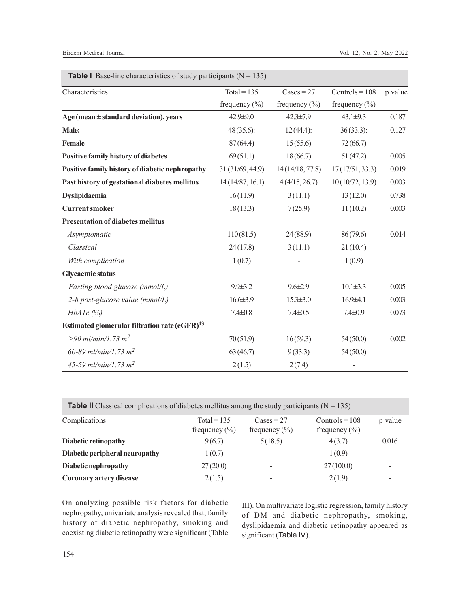| Characteristics                                           | $Total = 135$     | $\text{Cases} = 27$ | Controls = $108$  | p value |
|-----------------------------------------------------------|-------------------|---------------------|-------------------|---------|
|                                                           | frequency $(\% )$ | frequency $(\% )$   | frequency $(\% )$ |         |
| Age (mean $\pm$ standard deviation), years                | $42.9 \pm 9.0$    | $42.3 \pm 7.9$      | $43.1 \pm 9.3$    | 0.187   |
| Male:                                                     | 48 (35.6):        | 12(44.4):           | 36(33.3):         | 0.127   |
| Female                                                    | 87(64.4)          | 15(55.6)            | 72(66.7)          |         |
| <b>Positive family history of diabetes</b>                | 69(51.1)          | 18(66.7)            | 51(47.2)          | 0.005   |
| Positive family history of diabetic nephropathy           | 31 (31/69, 44.9)  | 14(14/18, 77.8)     | 17(17/51, 33.3)   | 0.019   |
| Past history of gestational diabetes mellitus             | 14(14/87, 16.1)   | 4(4/15, 26.7)       | 10(10/72, 13.9)   | 0.003   |
| Dyslipidaemia                                             | 16(11.9)          | 3(11.1)             | 13(12.0)          | 0.738   |
| <b>Current smoker</b>                                     | 18(13.3)          | 7(25.9)             | 11(10.2)          | 0.003   |
| <b>Presentation of diabetes mellitus</b>                  |                   |                     |                   |         |
| Asymptomatic                                              | 110(81.5)         | 24 (88.9)           | 86(79.6)          | 0.014   |
| Classical                                                 | 24(17.8)          | 3(11.1)             | 21(10.4)          |         |
| With complication                                         | 1(0.7)            |                     | 1(0.9)            |         |
| <b>Glycaemic status</b>                                   |                   |                     |                   |         |
| Fasting blood glucose (mmol/L)                            | $9.9 \pm 3.2$     | $9.6 \pm 2.9$       | $10.1 \pm 3.3$    | 0.005   |
| 2-h post-glucose value (mmol/L)                           | $16.6 \pm 3.9$    | $15.3 \pm 3.0$      | $16.9{\pm}4.1$    | 0.003   |
| $HbA1c$ (%)                                               | $7.4 \pm 0.8$     | $7.4 \pm 0.5$       | $7.4 \pm 0.9$     | 0.073   |
| Estimated glomerular filtration rate (eGFR) <sup>13</sup> |                   |                     |                   |         |
| $≥90$ ml/min/1.73 m <sup>2</sup>                          | 70(51.9)          | 16(59.3)            | 54(50.0)          | 0.002   |
| 60-89 ml/min/1.73 m <sup>2</sup>                          | 63(46.7)          | 9(33.3)             | 54(50.0)          |         |
| 45-59 ml/min/1.73 m <sup>2</sup>                          | 2(1.5)            | 2(7.4)              |                   |         |

**Table I** Base-line characteristics of study participants  $(N = 135)$ 

**Table II** Classical complications of diabetes mellitus among the study participants ( $N = 135$ )

| Complications                  | $Total = 135$<br>frequency $(\% )$ | $\text{Cases} = 27$<br>frequency $(\% )$ | $Controls = 108$<br>frequency $(\% )$ | p value |
|--------------------------------|------------------------------------|------------------------------------------|---------------------------------------|---------|
| Diabetic retinopathy           | 9(6.7)                             | 5(18.5)                                  | 4(3.7)                                | 0.016   |
| Diabetic peripheral neuropathy | 1(0.7)                             | $\overline{\phantom{a}}$                 | 1(0.9)                                |         |
| Diabetic nephropathy           | 27(20.0)                           | $\overline{\phantom{a}}$                 | 27(100.0)                             |         |
| Coronary artery disease        | 2(1.5)                             | $\overline{\phantom{a}}$                 | 2(1.9)                                | -       |

On analyzing possible risk factors for diabetic nephropathy, univariate analysis revealed that, family history of diabetic nephropathy, smoking and coexisting diabetic retinopathy were significant (Table

III). On multivariate logistic regression, family history of DM and diabetic nephropathy, smoking, dyslipidaemia and diabetic retinopathy appeared as significant (Table IV).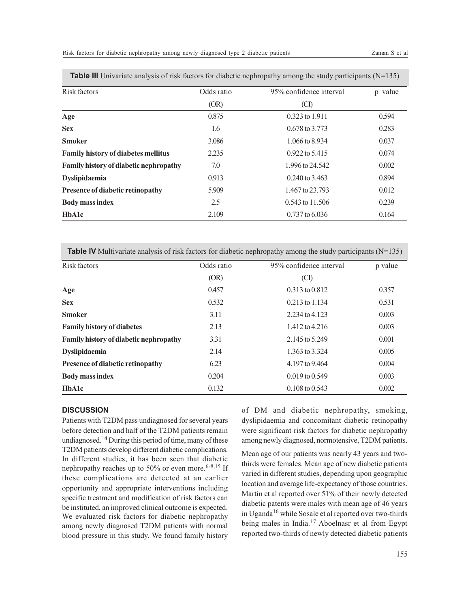| Risk factors                                  | Odds ratio | 95% confidence interval | p value |
|-----------------------------------------------|------------|-------------------------|---------|
|                                               | (OR)       | (CI)                    |         |
| Age                                           | 0.875      | $0.323$ to 1.911        | 0.594   |
| <b>Sex</b>                                    | 1.6        | $0.678$ to 3.773        | 0.283   |
| <b>Smoker</b>                                 | 3.086      | $1.066$ to 8.934        | 0.037   |
| <b>Family history of diabetes mellitus</b>    | 2.235      | $0.922$ to 5.415        | 0.074   |
| <b>Family history of diabetic nephropathy</b> | 7.0        | 1.996 to 24.542         | 0.002   |
| <b>Dyslipidaemia</b>                          | 0.913      | $0.240$ to 3.463        | 0.894   |
| <b>Presence of diabetic retinopathy</b>       | 5.909      | 1.467 to 23.793         | 0.012   |
| <b>Body mass index</b>                        | 2.5        | $0.543$ to $11.506$     | 0.239   |
| <b>HbA1c</b>                                  | 2.109      | $0.737$ to $6.036$      | 0.164   |

**Table III** Univariate analysis of risk factors for diabetic nephropathy among the study participants (N=135)

**Table IV** Multivariate analysis of risk factors for diabetic nephropathy among the study participants (N=135)

| Risk factors                            | Odds ratio | 95% confidence interval | p value |
|-----------------------------------------|------------|-------------------------|---------|
|                                         | (OR)       | (CI)                    |         |
| Age                                     | 0.457      | 0.313 to 0.812          | 0.357   |
| <b>Sex</b>                              | 0.532      | $0.213$ to $1.134$      | 0.531   |
| <b>Smoker</b>                           | 3.11       | 2.234 to 4.123          | 0.003   |
| <b>Family history of diabetes</b>       | 2.13       | $1.412$ to $4.216$      | 0.003   |
| Family history of diabetic nephropathy  | 3.31       | 2.145 to 5.249          | 0.001   |
| <b>Dyslipidaemia</b>                    | 2.14       | 1.363 to 3.324          | 0.005   |
| <b>Presence of diabetic retinopathy</b> | 6.23       | 4.197 to 9.464          | 0.004   |
| <b>Body mass index</b>                  | 0.204      | $0.019$ to $0.549$      | 0.003   |
| <b>HbA1c</b>                            | 0.132      | $0.108$ to $0.543$      | 0.002   |

# **DISCUSSION**

Patients with T2DM pass undiagnosed for several years before detection and half of the T2DM patients remain undiagnosed.<sup>14</sup> During this period of time, many of these T2DM patients develop different diabetic complications. In different studies, it has been seen that diabetic nephropathy reaches up to 50% or even more.<sup>6-8,15</sup> If these complications are detected at an earlier opportunity and appropriate interventions including specific treatment and modification of risk factors can be instituted, an improved clinical outcome is expected. We evaluated risk factors for diabetic nephropathy among newly diagnosed T2DM patients with normal blood pressure in this study. We found family history

of DM and diabetic nephropathy, smoking, dyslipidaemia and concomitant diabetic retinopathy were significant risk factors for diabetic nephropathy among newly diagnosed, normotensive, T2DM patients.

Mean age of our patients was nearly 43 years and twothirds were females. Mean age of new diabetic patients varied in different studies, depending upon geographic location and average life-expectancy of those countries. Martin et al reported over 51% of their newly detected diabetic patents were males with mean age of 46 years in Uganda<sup>16</sup> while Sosale et al reported over two-thirds being males in India.<sup>17</sup> Aboelnasr et al from Egypt reported two-thirds of newly detected diabetic patients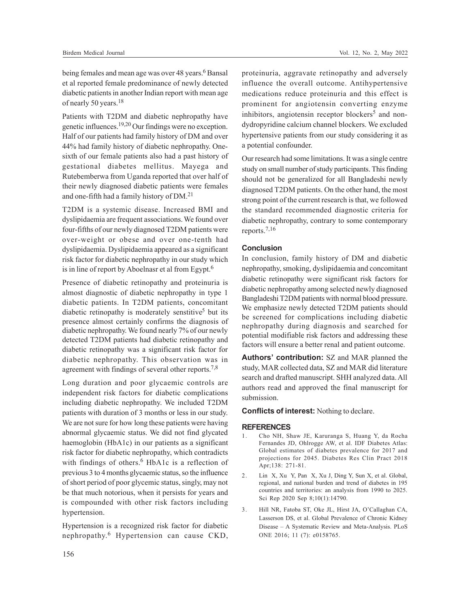being females and mean age was over 48 years.<sup>6</sup> Bansal et al reported female predominance of newly detected diabetic patients in another Indian report with mean age of nearly 50 years.<sup>18</sup>

Patients with T2DM and diabetic nephropathy have genetic influences.19,20 Our findings were no exception. Half of our patients had family history of DM and over 44% had family history of diabetic nephropathy. Onesixth of our female patients also had a past history of gestational diabetes mellitus. Mayega and Rutebemberwa from Uganda reported that over half of their newly diagnosed diabetic patients were females and one-fifth had a family history of DM.<sup>21</sup>

T2DM is a systemic disease. Increased BMI and dyslipidaemia are frequent associations. We found over four-fifths of our newly diagnosed T2DM patients were over-weight or obese and over one-tenth had dyslipidaemia. Dyslipidaemia appeared as a significant risk factor for diabetic nephropathy in our study which is in line of report by Aboelnasr et al from Egypt.<sup>6</sup>

Presence of diabetic retinopathy and proteinuria is almost diagnostic of diabetic nephropathy in type 1 diabetic patients. In T2DM patients, concomitant diabetic retinopathy is moderately senstitive<sup>5</sup> but its presence almost certainly confirms the diagnosis of diabetic nephropathy. We found nearly 7% of our newly detected T2DM patients had diabetic retinopathy and diabetic retinopathy was a significant risk factor for diabetic nephropathy. This observation was in agreement with findings of several other reports.<sup>7,8</sup>

Long duration and poor glycaemic controls are independent risk factors for diabetic complications including diabetic nephropathy. We included T2DM patients with duration of 3 months or less in our study. We are not sure for how long these patients were having abnormal glycaemic status. We did not find glycated haemoglobin (HbA1c) in our patients as a significant risk factor for diabetic nephropathy, which contradicts with findings of others.<sup>6</sup> HbA1c is a reflection of previous 3 to 4 months glycaemic status, so the influence of short period of poor glycemic status, singly, may not be that much notorious, when it persists for years and is compounded with other risk factors including hypertension.

Hypertension is a recognized risk factor for diabetic nephropathy. 6 Hypertension can cause CKD,

proteinuria, aggravate retinopathy and adversely influence the overall outcome. Antihypertensive medications reduce proteinuria and this effect is prominent for angiotensin converting enzyme inhibitors, angiotensin receptor blockers<sup>5</sup> and nondydropyridine calcium channel blockers. We excluded hypertensive patients from our study considering it as a potential confounder.

Our research had some limitations. It was a single centre study on small number of study participants. This finding should not be generalized for all Bangladeshi newly diagnosed T2DM patients. On the other hand, the most strong point of the current research is that, we followed the standard recommended diagnostic criteria for diabetic nephropathy, contrary to some contemporary reports.7,16

### **Conclusion**

In conclusion, family history of DM and diabetic nephropathy, smoking, dyslipidaemia and concomitant diabetic retinopathy were significant risk factors for diabetic nephropathy among selected newly diagnosed Bangladeshi T2DM patients with normal blood pressure. We emphasize newly detected T2DM patients should be screened for complications including diabetic nephropathy during diagnosis and searched for potential modifiable risk factors and addressing these factors will ensure a better renal and patient outcome.

**Authors' contribution:** SZ and MAR planned the study, MAR collected data, SZ and MAR did literature search and drafted manuscript. SHH analyzed data. All authors read and approved the final manuscript for submission.

**Conflicts of interest:** Nothing to declare.

#### **REFERENCES**

- 1. Cho NH, Shaw JE, Karuranga S, Huang Y, da Rocha Fernandes JD, Ohlrogge AW, et al. IDF Diabetes Atlas: Global estimates of diabetes prevalence for 2017 and projections for 2045. Diabetes Res Clin Pract 2018 Apr;138: 271-81.
- 2. Lin X, Xu Y, Pan X, Xu J, Ding Y, Sun X, et al. Global, regional, and national burden and trend of diabetes in 195 countries and territories: an analysis from 1990 to 2025. Sci Rep 2020 Sep 8;10(1):14790.
- 3. Hill NR, Fatoba ST, Oke JL, Hirst JA, O'Callaghan CA, Lasserson DS, et al. Global Prevalence of Chronic Kidney Disease – A Systematic Review and Meta-Analysis. PLoS ONE 2016; 11 (7): e0158765.